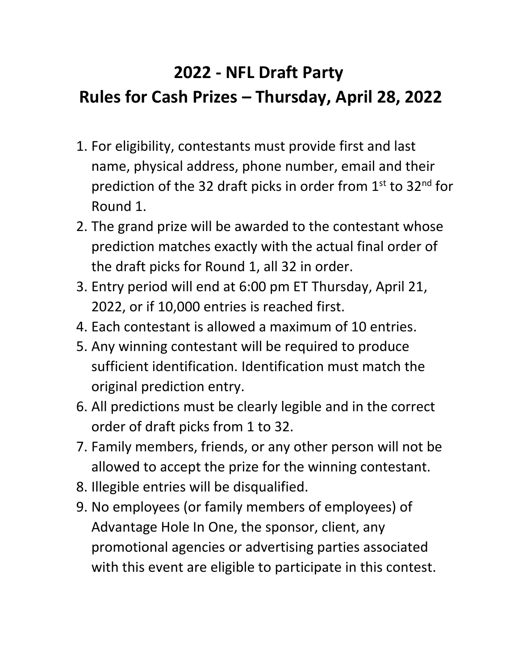## **2022 - NFL Draft Party Rules for Cash Prizes – Thursday, April 28, 2022**

- 1. For eligibility, contestants must provide first and last name, physical address, phone number, email and their prediction of the 32 draft picks in order from 1st to 32<sup>nd</sup> for Round 1.
- 2. The grand prize will be awarded to the contestant whose prediction matches exactly with the actual final order of the draft picks for Round 1, all 32 in order.
- 3. Entry period will end at 6:00 pm ET Thursday, April 21, 2022, or if 10,000 entries is reached first.
- 4. Each contestant is allowed a maximum of 10 entries.
- 5. Any winning contestant will be required to produce sufficient identification. Identification must match the original prediction entry.
- 6. All predictions must be clearly legible and in the correct order of draft picks from 1 to 32.
- 7. Family members, friends, or any other person will not be allowed to accept the prize for the winning contestant.
- 8. Illegible entries will be disqualified.
- 9. No employees (or family members of employees) of Advantage Hole In One, the sponsor, client, any promotional agencies or advertising parties associated with this event are eligible to participate in this contest.